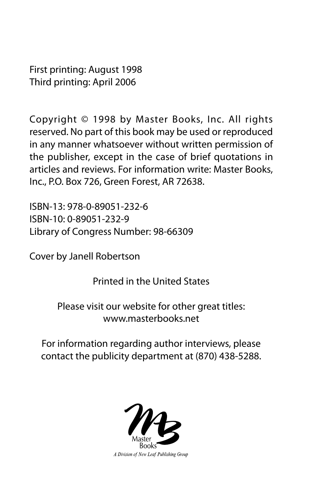First printing: August 1998 Third printing: April 2006

Copyright © 1998 by Master Books, Inc. All rights reserved. No part of this book may be used or reproduced in any manner whatsoever without written permission of the publisher, except in the case of brief quotations in articles and reviews. For information write: Master Books, Inc., P.O. Box 726, Green Forest, AR 72638.

ISBN-13: 978-0-89051-232-6 ISBN-10: 0-89051-232-9 Library of Congress Number: 98-66309

Cover by Janell Robertson

Printed in the United States

Please visit our website for other great titles: www.masterbooks.net

For information regarding author interviews, please contact the publicity department at (870) 438-5288.



A Division of New Leaf Publishing Group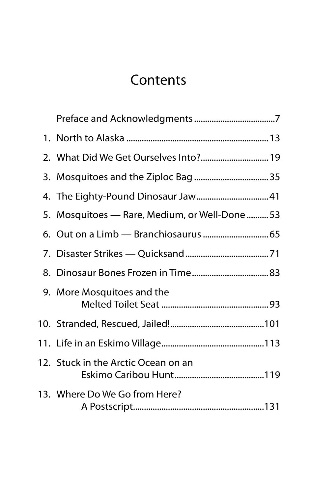#### **Contents**

| 2. What Did We Get Ourselves Into? 19         |
|-----------------------------------------------|
|                                               |
|                                               |
| 5. Mosquitoes — Rare, Medium, or Well-Done 53 |
|                                               |
|                                               |
|                                               |
| 9. More Mosquitoes and the                    |
|                                               |
|                                               |
| 12. Stuck in the Arctic Ocean on an           |
| 13. Where Do We Go from Here?                 |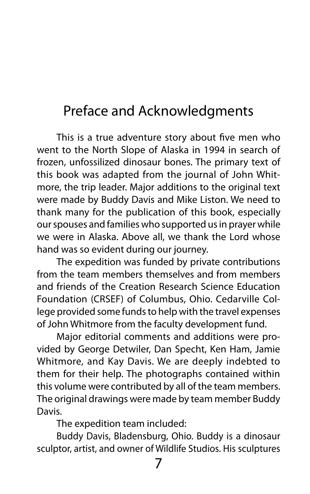#### Preface and Acknowledgments

This is a true adventure story about five men who went to the North Slope of Alaska in 1994 in search of frozen, unfossilized dinosaur bones. The primary text of this book was adapted from the journal of John Whitmore, the trip leader. Major additions to the original text were made by Buddy Davis and Mike Liston. We need to thank many for the publication of this book, especially our spouses and families who supported us in prayer while we were in Alaska. Above all, we thank the Lord whose hand was so evident during our journey.

The expedition was funded by private contributions from the team members themselves and from members and friends of the Creation Research Science Education Foundation (CRSEF) of Columbus, Ohio. Cedarville College provided some funds to help with the travel expenses of John Whitmore from the faculty development fund.

Major editorial comments and additions were provided by George Detwiler, Dan Specht, Ken Ham, Jamie Whitmore, and Kay Davis. We are deeply indebted to them for their help. The photographs contained within this volume were contributed by all of the team members. The original drawings were made by team member Buddy Davis.

The expedition team included:

Buddy Davis, Bladensburg, Ohio. Buddy is a dinosaur sculptor, artist, and owner of Wildlife Studios. His sculptures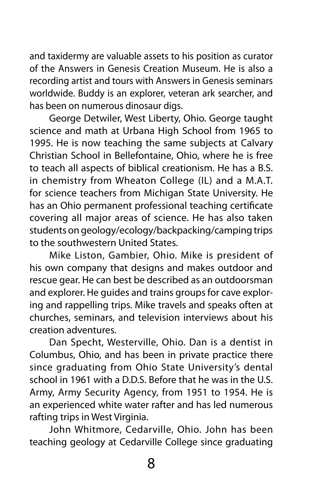and taxidermy are valuable assets to his position as curator of the Answers in Genesis Creation Museum. He is also a recording artist and tours with Answers in Genesis seminars worldwide. Buddy is an explorer, veteran ark searcher, and has been on numerous dinosaur digs.

George Detwiler, West Liberty, Ohio. George taught science and math at Urbana High School from 1965 to 1995. He is now teaching the same subjects at Calvary Christian School in Bellefontaine, Ohio, where he is free to teach all aspects of biblical creationism. He has a B.S. in chemistry from Wheaton College (IL) and a M.A.T. for science teachers from Michigan State University. He has an Ohio permanent professional teaching certificate covering all major areas of science. He has also taken students on geology/ecology/backpacking/camping trips to the southwestern United States.

Mike Liston, Gambier, Ohio. Mike is president of his own company that designs and makes outdoor and rescue gear. He can best be described as an outdoorsman and explorer. He guides and trains groups for cave exploring and rappelling trips. Mike travels and speaks often at churches, seminars, and television interviews about his creation adventures.

Dan Specht, Westerville, Ohio. Dan is a dentist in Columbus, Ohio, and has been in private practice there since graduating from Ohio State University's dental school in 1961 with a D.D.S. Before that he was in the U.S. Army, Army Security Agency, from 1951 to 1954. He is an experienced white water rafter and has led numerous rafting trips in West Virginia.

John Whitmore, Cedarville, Ohio. John has been teaching geology at Cedarville College since graduating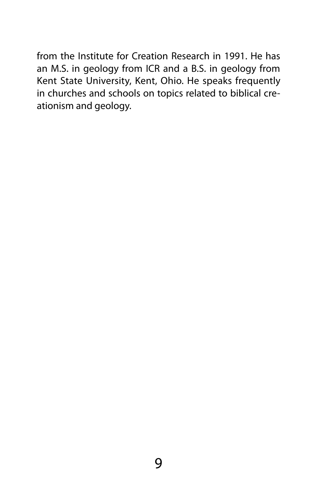from the Institute for Creation Research in 1991. He has an M.S. in geology from ICR and a B.S. in geology from Kent State University, Kent, Ohio. He speaks frequently in churches and schools on topics related to biblical creationism and geology.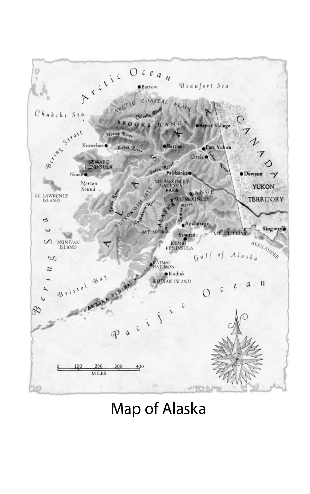

#### Map of Alaska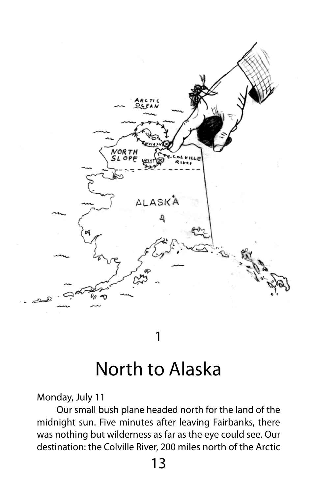

## North to Alaska

Monday, July 11

Our small bush plane headed north for the land of the midnight sun. Five minutes after leaving Fairbanks, there was nothing but wilderness as far as the eye could see. Our destination: the Colville River, 200 miles north of the Arctic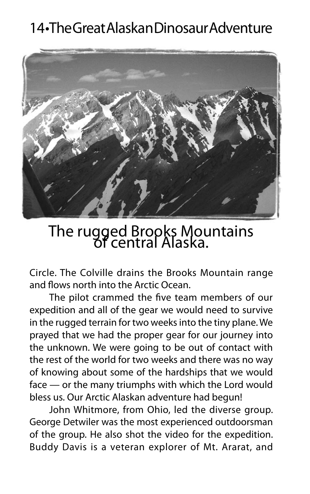

The rugged Brooks Mountains of central Alaska.

Circle. The Colville drains the Brooks Mountain range and flows north into the Arctic Ocean.

The pilot crammed the five team members of our expedition and all of the gear we would need to survive in the rugged terrain for two weeks into the tiny plane. We prayed that we had the proper gear for our journey into the unknown. We were going to be out of contact with the rest of the world for two weeks and there was no way of knowing about some of the hardships that we would face — or the many triumphs with which the Lord would bless us. Our Arctic Alaskan adventure had begun!

John Whitmore, from Ohio, led the diverse group. George Detwiler was the most experienced outdoorsman of the group. He also shot the video for the expedition. Buddy Davis is a veteran explorer of Mt. Ararat, and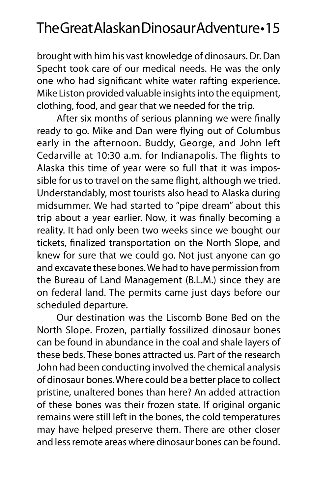brought with him his vast knowledge of dinosaurs. Dr. Dan Specht took care of our medical needs. He was the only one who had significant white water rafting experience. Mike Liston provided valuable insights into the equipment, clothing, food, and gear that we needed for the trip.

After six months of serious planning we were finally ready to go. Mike and Dan were flying out of Columbus early in the afternoon. Buddy, George, and John left Cedarville at 10:30 a.m. for Indianapolis. The flights to Alaska this time of year were so full that it was impossible for us to travel on the same flight, although we tried. Understandably, most tourists also head to Alaska during midsummer. We had started to "pipe dream" about this trip about a year earlier. Now, it was finally becoming a reality. It had only been two weeks since we bought our tickets, finalized transportation on the North Slope, and knew for sure that we could go. Not just anyone can go and excavate these bones. We had to have permission from the Bureau of Land Management (B.L.M.) since they are on federal land. The permits came just days before our scheduled departure.

Our destination was the Liscomb Bone Bed on the North Slope. Frozen, partially fossilized dinosaur bones can be found in abundance in the coal and shale layers of these beds. These bones attracted us. Part of the research John had been conducting involved the chemical analysis of dinosaur bones. Where could be a better place to collect pristine, unaltered bones than here? An added attraction of these bones was their frozen state. If original organic remains were still left in the bones, the cold temperatures may have helped preserve them. There are other closer and less remote areas where dinosaur bones can be found.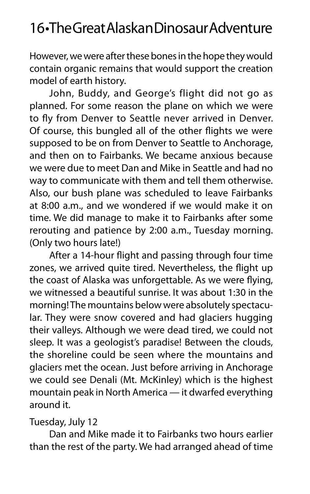However, we were after these bones in the hope they would contain organic remains that would support the creation model of earth history.

John, Buddy, and George's flight did not go as planned. For some reason the plane on which we were to fly from Denver to Seattle never arrived in Denver. Of course, this bungled all of the other flights we were supposed to be on from Denver to Seattle to Anchorage, and then on to Fairbanks. We became anxious because we were due to meet Dan and Mike in Seattle and had no way to communicate with them and tell them otherwise. Also, our bush plane was scheduled to leave Fairbanks at 8:00 a.m., and we wondered if we would make it on time. We did manage to make it to Fairbanks after some rerouting and patience by 2:00 a.m., Tuesday morning. (Only two hours late!)

After a 14-hour flight and passing through four time zones, we arrived quite tired. Nevertheless, the flight up the coast of Alaska was unforgettable. As we were flying, we witnessed a beautiful sunrise. It was about 1:30 in the morning! The mountains below were absolutely spectacular. They were snow covered and had glaciers hugging their valleys. Although we were dead tired, we could not sleep. It was a geologist's paradise! Between the clouds, the shoreline could be seen where the mountains and glaciers met the ocean. Just before arriving in Anchorage we could see Denali (Mt. McKinley) which is the highest mountain peak in North America — it dwarfed everything around it.

#### Tuesday, July 12

Dan and Mike made it to Fairbanks two hours earlier than the rest of the party. We had arranged ahead of time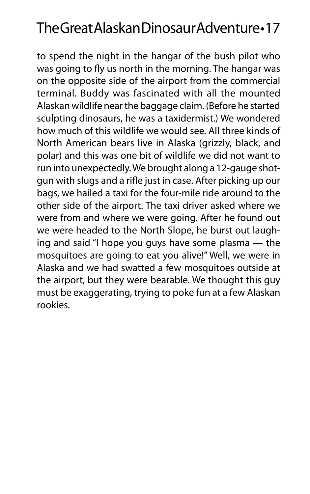to spend the night in the hangar of the bush pilot who was going to fly us north in the morning. The hangar was on the opposite side of the airport from the commercial terminal. Buddy was fascinated with all the mounted Alaskan wildlife near the baggage claim. (Before he started sculpting dinosaurs, he was a taxidermist.) We wondered how much of this wildlife we would see. All three kinds of North American bears live in Alaska (grizzly, black, and polar) and this was one bit of wildlife we did not want to run into unexpectedly. We brought along a 12-gauge shotgun with slugs and a rifle just in case. After picking up our bags, we hailed a taxi for the four-mile ride around to the other side of the airport. The taxi driver asked where we were from and where we were going. After he found out we were headed to the North Slope, he burst out laughing and said "I hope you guys have some plasma — the mosquitoes are going to eat you alive!" Well, we were in Alaska and we had swatted a few mosquitoes outside at the airport, but they were bearable. We thought this guy must be exaggerating, trying to poke fun at a few Alaskan rookies.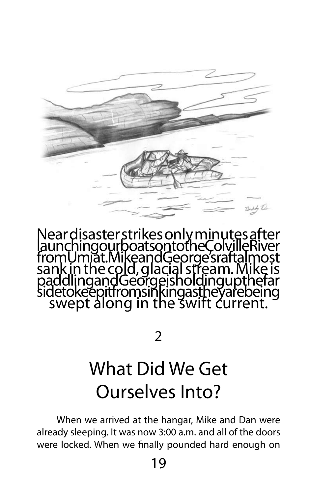Near disaster strikes only minutes after<br>launchingourboatsontotheColvilleRiver<br>fromUmiat.MikeandGeorge'sraftalmost<br>sank in the cold, glacial stream. Mike is<br>paddlingandGeorgeisholdingupthefar<br>sidetokeepitfromsinkingastheya

4 Or

2

# What Did We Get Ourselves Into?

When we arrived at the hangar, Mike and Dan were already sleeping. It was now 3:00 a.m. and all of the doors were locked. When we finally pounded hard enough on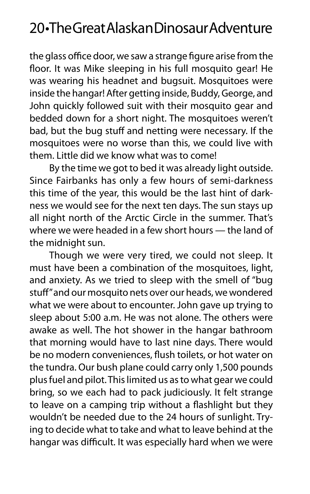the glass office door, we saw a strange figure arise from the floor. It was Mike sleeping in his full mosquito gear! He was wearing his headnet and bugsuit. Mosquitoes were inside the hangar! After getting inside, Buddy, George, and John quickly followed suit with their mosquito gear and bedded down for a short night. The mosquitoes weren't bad, but the bug stuff and netting were necessary. If the mosquitoes were no worse than this, we could live with them. Little did we know what was to come!

By the time we got to bed it was already light outside. Since Fairbanks has only a few hours of semi-darkness this time of the year, this would be the last hint of darkness we would see for the next ten days. The sun stays up all night north of the Arctic Circle in the summer. That's where we were headed in a few short hours — the land of the midnight sun.

Though we were very tired, we could not sleep. It must have been a combination of the mosquitoes, light, and anxiety. As we tried to sleep with the smell of "bug stuff" and our mosquito nets over our heads, we wondered what we were about to encounter. John gave up trying to sleep about 5:00 a.m. He was not alone. The others were awake as well. The hot shower in the hangar bathroom that morning would have to last nine days. There would be no modern conveniences, flush toilets, or hot water on the tundra. Our bush plane could carry only 1,500 pounds plus fuel and pilot. This limited us as to what gear we could bring, so we each had to pack judiciously. It felt strange to leave on a camping trip without a flashlight but they wouldn't be needed due to the 24 hours of sunlight. Trying to decide what to take and what to leave behind at the hangar was difficult. It was especially hard when we were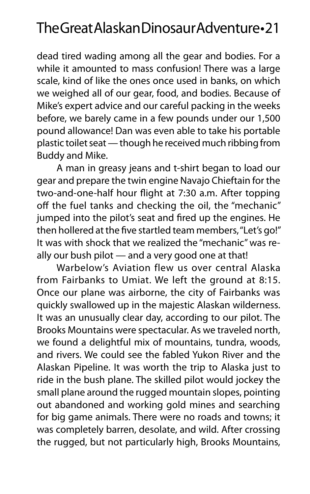dead tired wading among all the gear and bodies. For a while it amounted to mass confusion! There was a large scale, kind of like the ones once used in banks, on which we weighed all of our gear, food, and bodies. Because of Mike's expert advice and our careful packing in the weeks before, we barely came in a few pounds under our 1,500 pound allowance! Dan was even able to take his portable plastic toilet seat — though he received much ribbing from Buddy and Mike.

A man in greasy jeans and t-shirt began to load our gear and prepare the twin engine Navajo Chieftain for the two-and-one-half hour flight at 7:30 a.m. After topping off the fuel tanks and checking the oil, the "mechanic" jumped into the pilot's seat and fired up the engines. He then hollered at the five startled team members, "Let's go!" It was with shock that we realized the "mechanic" was really our bush pilot — and a very good one at that!

Warbelow's Aviation flew us over central Alaska from Fairbanks to Umiat. We left the ground at 8:15. Once our plane was airborne, the city of Fairbanks was quickly swallowed up in the majestic Alaskan wilderness. It was an unusually clear day, according to our pilot. The Brooks Mountains were spectacular. As we traveled north, we found a delightful mix of mountains, tundra, woods, and rivers. We could see the fabled Yukon River and the Alaskan Pipeline. It was worth the trip to Alaska just to ride in the bush plane. The skilled pilot would jockey the small plane around the rugged mountain slopes, pointing out abandoned and working gold mines and searching for big game animals. There were no roads and towns; it was completely barren, desolate, and wild. After crossing the rugged, but not particularly high, Brooks Mountains,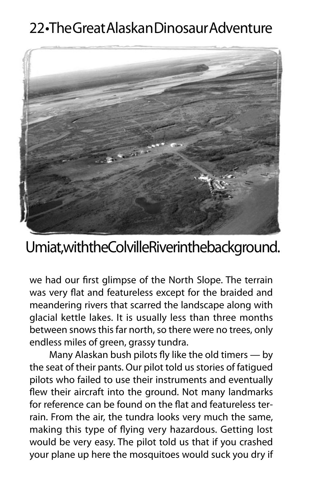

#### Umiat, with the Colville River in the background.

we had our first glimpse of the North Slope. The terrain was very flat and featureless except for the braided and meandering rivers that scarred the landscape along with glacial kettle lakes. It is usually less than three months between snows this far north, so there were no trees, only endless miles of green, grassy tundra.

Many Alaskan bush pilots fly like the old timers — by the seat of their pants. Our pilot told us stories of fatigued pilots who failed to use their instruments and eventually flew their aircraft into the ground. Not many landmarks for reference can be found on the flat and featureless terrain. From the air, the tundra looks very much the same, making this type of flying very hazardous. Getting lost would be very easy. The pilot told us that if you crashed your plane up here the mosquitoes would suck you dry if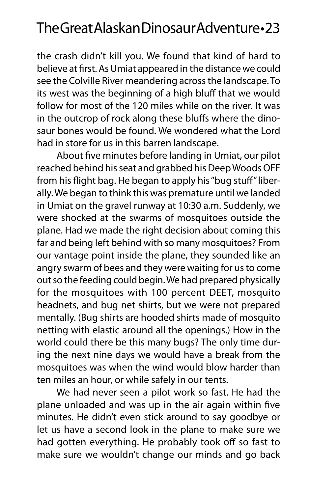the crash didn't kill you. We found that kind of hard to believe at first. As Umiat appeared in the distance we could see the Colville River meandering across the landscape. To its west was the beginning of a high bluff that we would follow for most of the 120 miles while on the river. It was in the outcrop of rock along these bluffs where the dinosaur bones would be found. We wondered what the Lord had in store for us in this barren landscape.

About five minutes before landing in Umiat, our pilot reached behind his seat and grabbed his Deep Woods OFF from his flight bag. He began to apply his "bug stuff" liberally. We began to think this was premature until we landed in Umiat on the gravel runway at 10:30 a.m. Suddenly, we were shocked at the swarms of mosquitoes outside the plane. Had we made the right decision about coming this far and being left behind with so many mosquitoes? From our vantage point inside the plane, they sounded like an angry swarm of bees and they were waiting for us to come out so the feeding could begin. We had prepared physically for the mosquitoes with 100 percent DEET, mosquito headnets, and bug net shirts, but we were not prepared mentally. (Bug shirts are hooded shirts made of mosquito netting with elastic around all the openings.) How in the world could there be this many bugs? The only time during the next nine days we would have a break from the mosquitoes was when the wind would blow harder than ten miles an hour, or while safely in our tents.

We had never seen a pilot work so fast. He had the plane unloaded and was up in the air again within five minutes. He didn't even stick around to say goodbye or let us have a second look in the plane to make sure we had gotten everything. He probably took off so fast to make sure we wouldn't change our minds and go back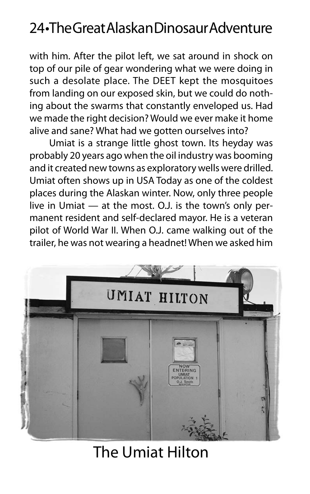with him. After the pilot left, we sat around in shock on top of our pile of gear wondering what we were doing in such a desolate place. The DEET kept the mosquitoes from landing on our exposed skin, but we could do nothing about the swarms that constantly enveloped us. Had we made the right decision? Would we ever make it home alive and sane? What had we gotten ourselves into?

Umiat is a strange little ghost town. Its heyday was probably 20 years ago when the oil industry was booming and it created new towns as exploratory wells were drilled. Umiat often shows up in USA Today as one of the coldest places during the Alaskan winter. Now, only three people live in Umiat — at the most. O.J. is the town's only permanent resident and self-declared mayor. He is a veteran pilot of World War II. When O.J. came walking out of the trailer, he was not wearing a headnet! When we asked him



#### The Umiat Hilton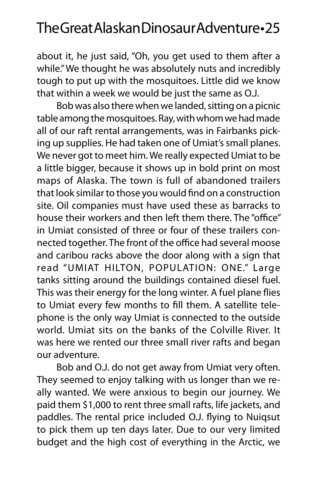about it, he just said, "Oh, you get used to them after a while." We thought he was absolutely nuts and incredibly tough to put up with the mosquitoes. Little did we know that within a week we would be just the same as O.J.

Bob was also there when we landed, sitting on a picnic table among the mosquitoes. Ray, with whom we had made all of our raft rental arrangements, was in Fairbanks picking up supplies. He had taken one of Umiat's small planes. We never got to meet him. We really expected Umiat to be a little bigger, because it shows up in bold print on most maps of Alaska. The town is full of abandoned trailers that look similar to those you would find on a construction site. Oil companies must have used these as barracks to house their workers and then left them there. The "office" in Umiat consisted of three or four of these trailers connected together. The front of the office had several moose and caribou racks above the door along with a sign that read "UMIAT HILTON, POPULATION: ONE." Large tanks sitting around the buildings contained diesel fuel. This was their energy for the long winter. A fuel plane flies to Umiat every few months to fill them. A satellite telephone is the only way Umiat is connected to the outside world. Umiat sits on the banks of the Colville River. It was here we rented our three small river rafts and began our adventure.

Bob and O.J. do not get away from Umiat very often. They seemed to enjoy talking with us longer than we really wanted. We were anxious to begin our journey. We paid them \$1,000 to rent three small rafts, life jackets, and paddles. The rental price included O.J. flying to Nuiqsut to pick them up ten days later. Due to our very limited budget and the high cost of everything in the Arctic, we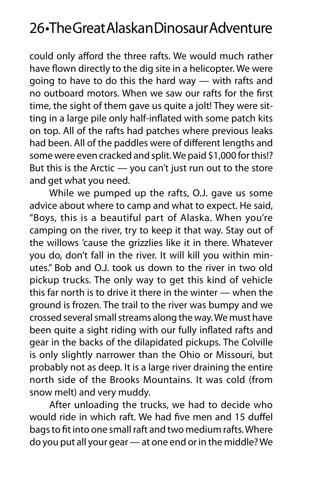could only afford the three rafts. We would much rather have flown directly to the dig site in a helicopter. We were going to have to do this the hard way — with rafts and no outboard motors. When we saw our rafts for the first time, the sight of them gave us quite a jolt! They were sitting in a large pile only half-inflated with some patch kits on top. All of the rafts had patches where previous leaks had been. All of the paddles were of different lengths and some were even cracked and split. We paid \$1,000 for this!? But this is the Arctic — you can't just run out to the store and get what you need.

While we pumped up the rafts, O.J. gave us some advice about where to camp and what to expect. He said, "Boys, this is a beautiful part of Alaska. When you're camping on the river, try to keep it that way. Stay out of the willows 'cause the grizzlies like it in there. Whatever you do, don't fall in the river. It will kill you within minutes." Bob and O.J. took us down to the river in two old pickup trucks. The only way to get this kind of vehicle this far north is to drive it there in the winter — when the ground is frozen. The trail to the river was bumpy and we crossed several small streams along the way. We must have been quite a sight riding with our fully inflated rafts and gear in the backs of the dilapidated pickups. The Colville is only slightly narrower than the Ohio or Missouri, but probably not as deep. It is a large river draining the entire north side of the Brooks Mountains. It was cold (from snow melt) and very muddy.

After unloading the trucks, we had to decide who would ride in which raft. We had five men and 15 duffel bags to fit into one small raft and two medium rafts. Where do you put all your gear — at one end or in the middle? We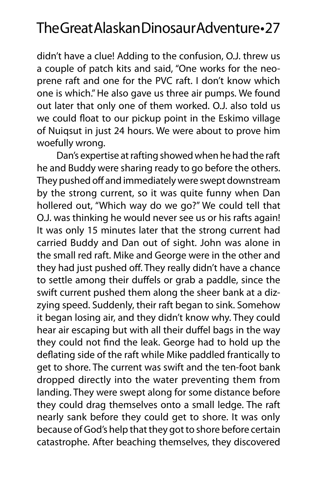didn't have a clue! Adding to the confusion, O.J. threw us a couple of patch kits and said, "One works for the neoprene raft and one for the PVC raft. I don't know which one is which." He also gave us three air pumps. We found out later that only one of them worked. O.J. also told us we could float to our pickup point in the Eskimo village of Nuiqsut in just 24 hours. We were about to prove him woefully wrong.

Dan's expertise at rafting showed when he had the raft he and Buddy were sharing ready to go before the others. They pushed off and immediately were swept downstream by the strong current, so it was quite funny when Dan hollered out, "Which way do we go?" We could tell that O.J. was thinking he would never see us or his rafts again! It was only 15 minutes later that the strong current had carried Buddy and Dan out of sight. John was alone in the small red raft. Mike and George were in the other and they had just pushed off. They really didn't have a chance to settle among their duffels or grab a paddle, since the swift current pushed them along the sheer bank at a dizzying speed. Suddenly, their raft began to sink. Somehow it began losing air, and they didn't know why. They could hear air escaping but with all their duffel bags in the way they could not find the leak. George had to hold up the deflating side of the raft while Mike paddled frantically to get to shore. The current was swift and the ten-foot bank dropped directly into the water preventing them from landing. They were swept along for some distance before they could drag themselves onto a small ledge. The raft nearly sank before they could get to shore. It was only because of God's help that they got to shore before certain catastrophe. After beaching themselves, they discovered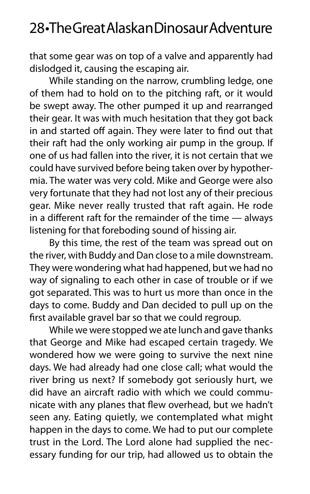that some gear was on top of a valve and apparently had dislodged it, causing the escaping air.

While standing on the narrow, crumbling ledge, one of them had to hold on to the pitching raft, or it would be swept away. The other pumped it up and rearranged their gear. It was with much hesitation that they got back in and started off again. They were later to find out that their raft had the only working air pump in the group. If one of us had fallen into the river, it is not certain that we could have survived before being taken over by hypothermia. The water was very cold. Mike and George were also very fortunate that they had not lost any of their precious gear. Mike never really trusted that raft again. He rode in a different raft for the remainder of the time — always listening for that foreboding sound of hissing air.

By this time, the rest of the team was spread out on the river, with Buddy and Dan close to a mile downstream. They were wondering what had happened, but we had no way of signaling to each other in case of trouble or if we got separated. This was to hurt us more than once in the days to come. Buddy and Dan decided to pull up on the first available gravel bar so that we could regroup.

While we were stopped we ate lunch and gave thanks that George and Mike had escaped certain tragedy. We wondered how we were going to survive the next nine days. We had already had one close call; what would the river bring us next? If somebody got seriously hurt, we did have an aircraft radio with which we could communicate with any planes that flew overhead, but we hadn't seen any. Eating quietly, we contemplated what might happen in the days to come. We had to put our complete trust in the Lord. The Lord alone had supplied the necessary funding for our trip, had allowed us to obtain the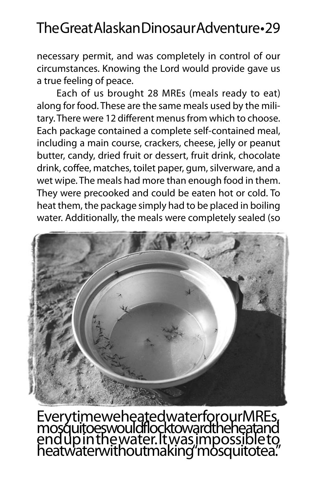necessary permit, and was completely in control of our circumstances. Knowing the Lord would provide gave us a true feeling of peace.

Each of us brought 28 MREs (meals ready to eat) along for food. These are the same meals used by the military. There were 12 different menus from which to choose. Each package contained a complete self-contained meal, including a main course, crackers, cheese, jelly or peanut butter, candy, dried fruit or dessert, fruit drink, chocolate drink, coffee, matches, toilet paper, gum, silverware, and a wet wipe. The meals had more than enough food in them. They were precooked and could be eaten hot or cold. To heat them, the package simply had to be placed in boiling water. Additionally, the meals were completely sealed (so



Every time we heated water for our MREs, mosquitoes would flock toward the heat and end up in the water. It was impossible to heat water without making "mosquito tea."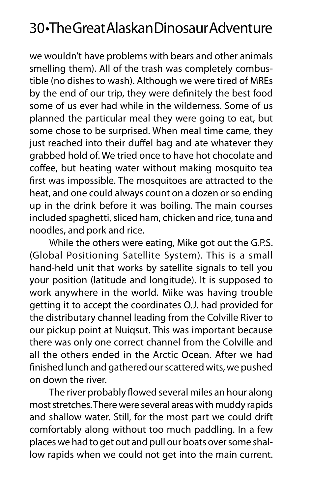we wouldn't have problems with bears and other animals smelling them). All of the trash was completely combustible (no dishes to wash). Although we were tired of MREs by the end of our trip, they were definitely the best food some of us ever had while in the wilderness. Some of us planned the particular meal they were going to eat, but some chose to be surprised. When meal time came, they just reached into their duffel bag and ate whatever they grabbed hold of. We tried once to have hot chocolate and coffee, but heating water without making mosquito tea first was impossible. The mosquitoes are attracted to the heat, and one could always count on a dozen or so ending up in the drink before it was boiling. The main courses included spaghetti, sliced ham, chicken and rice, tuna and noodles, and pork and rice.

While the others were eating, Mike got out the G.P.S. (Global Positioning Satellite System). This is a small hand-held unit that works by satellite signals to tell you your position (latitude and longitude). It is supposed to work anywhere in the world. Mike was having trouble getting it to accept the coordinates O.J. had provided for the distributary channel leading from the Colville River to our pickup point at Nuiqsut. This was important because there was only one correct channel from the Colville and all the others ended in the Arctic Ocean. After we had finished lunch and gathered our scattered wits, we pushed on down the river.

The river probably flowed several miles an hour along most stretches. There were several areas with muddy rapids and shallow water. Still, for the most part we could drift comfortably along without too much paddling. In a few places we had to get out and pull our boats over some shallow rapids when we could not get into the main current.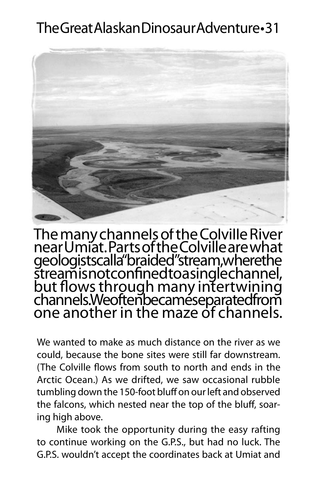

The many channels of the Colville River near Umiat. Parts of the Colville are what geologists calla "braided" stream, where the stream is not confined to a single channel, but flows through many intertwining channels. We often became separated from one another in the maze of channels.

We wanted to make as much distance on the river as we could, because the bone sites were still far downstream. (The Colville flows from south to north and ends in the Arctic Ocean.) As we drifted, we saw occasional rubble tumbling down the 150-foot bluff on our left and observed the falcons, which nested near the top of the bluff, soaring high above.

Mike took the opportunity during the easy rafting to continue working on the G.P.S., but had no luck. The G.P.S. wouldn't accept the coordinates back at Umiat and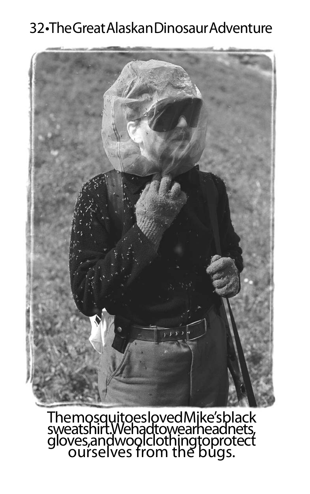

# The mosquitoes loved Mike's black<br>sweatshirt. We had to wear headnets, gloves, and wool clothing to protect<br>ourselves from the bugs.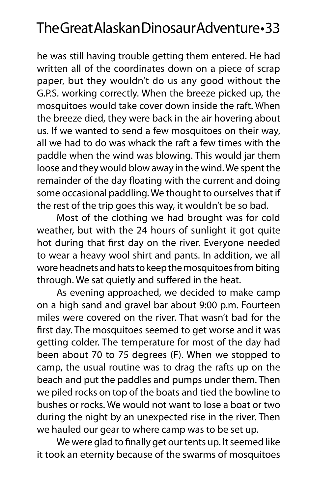he was still having trouble getting them entered. He had written all of the coordinates down on a piece of scrap paper, but they wouldn't do us any good without the G.P.S. working correctly. When the breeze picked up, the mosquitoes would take cover down inside the raft. When the breeze died, they were back in the air hovering about us. If we wanted to send a few mosquitoes on their way, all we had to do was whack the raft a few times with the paddle when the wind was blowing. This would jar them loose and they would blow away in the wind. We spent the remainder of the day floating with the current and doing some occasional paddling. We thought to ourselves that if the rest of the trip goes this way, it wouldn't be so bad.

Most of the clothing we had brought was for cold weather, but with the 24 hours of sunlight it got quite hot during that first day on the river. Everyone needed to wear a heavy wool shirt and pants. In addition, we all wore headnets and hats to keep the mosquitoes from biting through. We sat quietly and suffered in the heat.

As evening approached, we decided to make camp on a high sand and gravel bar about 9:00 p.m. Fourteen miles were covered on the river. That wasn't bad for the first day. The mosquitoes seemed to get worse and it was getting colder. The temperature for most of the day had been about 70 to 75 degrees (F). When we stopped to camp, the usual routine was to drag the rafts up on the beach and put the paddles and pumps under them. Then we piled rocks on top of the boats and tied the bowline to bushes or rocks. We would not want to lose a boat or two during the night by an unexpected rise in the river. Then we hauled our gear to where camp was to be set up.

We were glad to finally get our tents up. It seemed like it took an eternity because of the swarms of mosquitoes